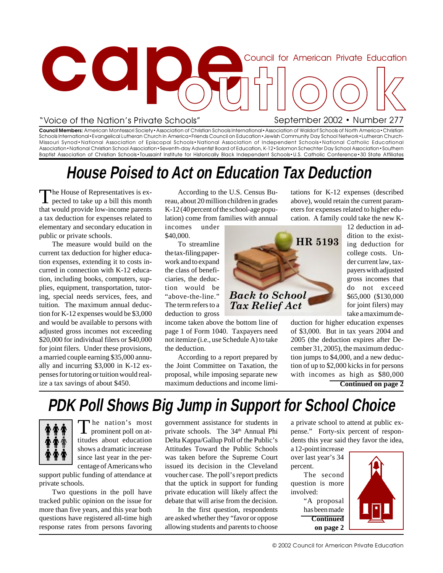

### "Voice of the Nation's Private Schools"

tations for K-12 expenses (described above), would retain the current parameters for expenses related to higher edu-

**Council Members:** American Montessori Society•Association of Christian Schools International•Association of Waldorf Schools of North America•Christian Schools International•Evangelical Lutheran Church in America•Friends Council on Education•Jewish Community Day School Network•Lutheran Church-Missouri Synod•National Association of Episcopal Schools•National Association of Independent Schools•National Catholic Educational Association•National Christian School Association•Seventh-day Adventist Board of Education, K-12•Solomon Schechter Day School Association•Southern Baptist Association of Christian Schools•Toussaint Institute for Historically Black Independent Schools•U.S. Catholic Conference•30 State Affiliates

### **House Poised to Act on Education Tax Deduction**

The House of Representatives is expected to take up a bill this month that would provide low-income parents a tax deduction for expenses related to elementary and secondary education in public or private schools.

The measure would build on the current tax deduction for higher education expenses, extending it to costs incurred in connection with K-12 education, including books, computers, supplies, equipment, transportation, tutoring, special needs services, fees, and tuition. The maximum annual deduction for K-12 expenses would be \$3,000 and would be available to persons with adjusted gross incomes not exceeding \$20,000 for individual filers or \$40,000 for joint filers. Under these provisions, a married couple earning \$35,000 annually and incurring \$3,000 in K-12 expenses for tutoring or tuition would realize a tax savings of about \$450.

According to the U.S. Census Bureau, about 20 million children in grades K-12 (40 percent of the school-age population) come from families with annual

incomes under \$40,000.

To streamline the tax-filing paperwork and to expand the class of beneficiaries, the deduction would be "above-the-line." The term refers to a deduction to gross

income taken above the bottom line of page 1 of Form 1040. Taxpayers need not itemize (i.e., use Schedule A) to take the deduction.

According to a report prepared by the Joint Committee on Taxation, the proposal, while imposing separate new maximum deductions and income limi-



cation. A family could take the new K-12 deduction in addition to the existing deduction for college costs. Under current law, taxpayers with adjusted gross incomes that do not exceed \$65,000 (\$130,000 for joint filers) may take a maximum de-

duction for higher education expenses of \$3,000. But in tax years 2004 and 2005 (the deduction expires after December 31, 2005), the maximum deduction jumps to \$4,000, and a new deduction of up to \$2,000 kicks in for persons with incomes as high as \$80,000 **Continued on page 2**

## **PDK Poll Shows Big Jump in Support for School Choice**



The nation's most prominent poll on attitudes about education shows a dramatic increase since last year in the percentage of Americans who

support public funding of attendance at private schools.

Two questions in the poll have tracked public opinion on the issue for more than five years, and this year both questions have registered all-time high response rates from persons favoring

government assistance for students in private schools. The 34<sup>th</sup> Annual Phi Delta Kappa/Gallup Poll of the Public's Attitudes Toward the Public Schools was taken before the Supreme Court issued its decision in the Cleveland voucher case. The poll's report predicts that the uptick in support for funding private education will likely affect the debate that will arise from the decision.

In the first question, respondents are asked whether they "favor or oppose allowing students and parents to choose a private school to attend at public expense." Forty-six percent of respondents this year said they favor the idea,

a 12-point increase over last year's 34 percent.

The second question is more involved:

> "A proposal has been made **Continued on page 2**

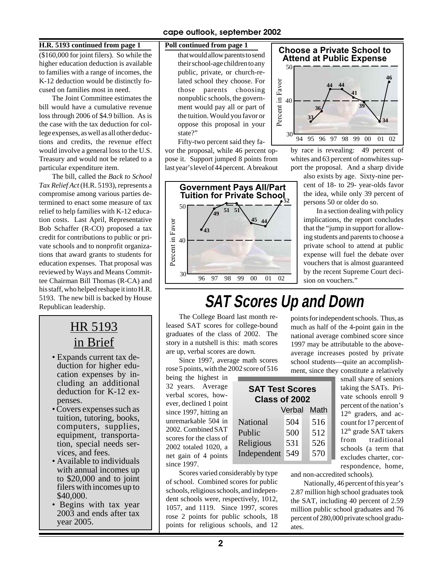### **H.R. 5193 continued from page 1 Poll continued from page 1**

(\$160,000 for joint filers). So while the higher education deduction is available to families with a range of incomes, the K-12 deduction would be distinctly focused on families most in need.

The Joint Committee estimates the bill would have a cumulative revenue loss through 2006 of \$4.9 billion. As is the case with the tax deduction for college expenses, as well as all other deductions and credits, the revenue effect would involve a general loss to the U.S. Treasury and would not be related to a particular expenditure item.

The bill, called the *Back to School Tax Relief Act* (H.R. 5193), represents a compromise among various parties determined to enact some measure of tax relief to help families with K-12 education costs. Last April, Representative Bob Schaffer (R-CO) proposed a tax credit for contributions to public or private schools and to nonprofit organizations that award grants to students for education expenses. That proposal was reviewed by Ways and Means Committee Chairman Bill Thomas (R-CA) and his staff, who helped reshape it into H.R. 5193. The new bill is backed by House Republican leadership.

### HR 5193 in Brief

- Expands current tax deduction for higher education expenses by including an additional deduction for K-12 expenses.
- Covers expenses such as tuition, tutoring, books, computers, supplies, equipment, transportation, special needs services, and fees.
- Available to individuals with annual incomes up to \$20,000 and to joint filers with incomes up to \$40,000.
- Begins with tax year 2003 and ends after tax year 2005.

that would allow parents to send their school-age children to any public, private, or church-related school they choose. For those parents choosing nonpublic schools, the government would pay all or part of the tuition. Would you favor or oppose this proposal in your state?"

Fifty-two percent said they favor the proposal, while 46 percent oppose it. Support jumped 8 points from last year's level of 44 percent. A breakout





by race is revealing: 49 percent of whites and 63 percent of nonwhites support the proposal. And a sharp divide

also exists by age. Sixty-nine percent of 18- to 29- year-olds favor the idea, while only 39 percent of persons 50 or older do so.

In a section dealing with policy implications, the report concludes that the "jump in support for allowing students and parents to choose a private school to attend at public expense will fuel the debate over vouchers that is almost guaranteed by the recent Supreme Court decision on vouchers."

### **SAT Scores Up and Down**

The College Board last month released SAT scores for college-bound graduates of the class of 2002. The story in a nutshell is this: math scores are up, verbal scores are down.

Since 1997, average math scores rose 5 points, with the 2002 score of 516

> National Public Religious

being the highest in 32 years. Average verbal scores, however, declined 1 point since 1997, hitting an unremarkable 504 in 2002. Combined SAT scores for the class of 2002 totaled 1020, a net gain of 4 points since 1997.

Scores varied considerably by type of school. Combined scores for public schools, religious schools, and independent schools were, respectively, 1012, 1057, and 1119. Since 1997, scores rose 2 points for public schools, 18 points for religious schools, and 12 much as half of the 4-point gain in the national average combined score since 1997 may be attributable to the aboveaverage increases posted by private school students—quite an accomplishment, since they constitute a relatively small share of seniors

points for independent schools. Thus, as

taking the SATs. Private schools enroll 9 percent of the nation's  $12<sup>th</sup>$  graders, and account for 17 percent of  $12<sup>th</sup>$  grade SAT takers from traditional schools (a term that excludes charter, correspondence, home, Verbal Math Independent 549 570**SAT Test Scores Class of 2002** 504 516 500 512 531 526

and non-accredited schools).

Nationally, 46 percent of this year's 2.87 million high school graduates took the SAT, including 40 percent of 2.59 million public school graduates and 76 percent of 280,000 private school graduates.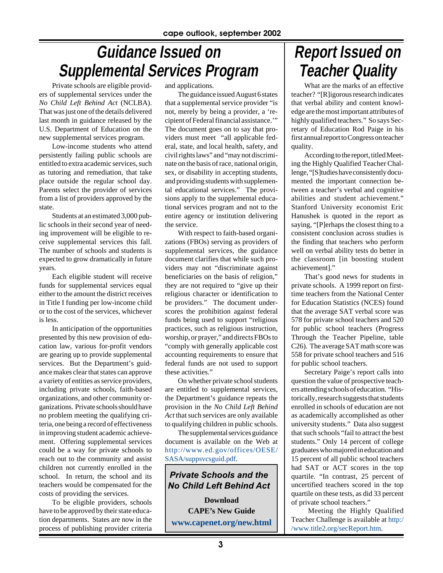## **Guidance Issued on Supplemental Services Program**

Private schools are eligible providers of supplemental services under the *No Child Left Behind Act* (NCLBA). That was just one of the details delivered last month in guidance released by the U.S. Department of Education on the new supplemental services program.

Low-income students who attend persistently failing public schools are entitled to extra academic services, such as tutoring and remediation, that take place outside the regular school day. Parents select the provider of services from a list of providers approved by the state.

Students at an estimated 3,000 public schools in their second year of needing improvement will be eligible to receive supplemental services this fall. The number of schools and students is expected to grow dramatically in future years.

Each eligible student will receive funds for supplemental services equal either to the amount the district receives in Title I funding per low-income child or to the cost of the services, whichever is less.

In anticipation of the opportunities presented by this new provision of education law, various for-profit vendors are gearing up to provide supplemental services. But the Department's guidance makes clear that states can approve a variety of entities as service providers, including private schools, faith-based organizations, and other community organizations. Private schools should have no problem meeting the qualifying criteria, one being a record of effectiveness in improving student academic achievement. Offering supplemental services could be a way for private schools to reach out to the community and assist children not currently enrolled in the school. In return, the school and its teachers would be compensated for the costs of providing the services.

To be eligible providers, schools have to be approved by their state education departments. States are now in the process of publishing provider criteria

and applications.

The guidance issued August 6 states that a supplemental service provider "is not, merely by being a provider, a 'recipient of Federal financial assistance.'" The document goes on to say that providers must meet "all applicable federal, state, and local health, safety, and civil rights laws" and "may not discriminate on the basis of race, national origin, sex, or disability in accepting students, and providing students with supplemental educational services." The provisions apply to the supplemental educational services program and not to the entire agency or institution delivering the service.

With respect to faith-based organizations (FBOs) serving as providers of supplemental services, the guidance document clarifies that while such providers may not "discriminate against beneficiaries on the basis of religion," they are not required to "give up their religious character or identification to be providers." The document underscores the prohibition against federal funds being used to support "religious practices, such as religious instruction, worship, or prayer," and directs FBOs to "comply with generally applicable cost accounting requirements to ensure that federal funds are not used to support these activities."

On whether private school students are entitled to supplemental services, the Department's guidance repeats the provision in the *No Child Left Behind Act* that such services are only available to qualifying children in public schools.

The supplemental services guidance document is available on the Web at [http://www.ed.gov/offices/OESE/](http://www.ed.gov/offices/OESE/SASA/suppsvcsguid.pdf) [SASA/suppsvcsguid.pdf](http://www.ed.gov/offices/OESE/SASA/suppsvcsguid.pdf).

*Private Schools and the No Child Left Behind Act*

**Download CAPE's New Guide [www.capenet.org/new.html](http://www.capenet.org/new.html)**

## **Report Issued on Teacher Quality**

What are the marks of an effective teacher? "[R]igorous research indicates that verbal ability and content knowledge are the most important attributes of highly qualified teachers." So says Secretary of Education Rod Paige in his first annual report to Congress on teacher quality.

According to the report, titled Meeting the Highly Qualified Teacher Challenge, "[S]tudies have consistently documented the important connection between a teacher's verbal and cognitive abilities and student achievement." Stanford University economist Eric Hanushek is quoted in the report as saying, "[P]erhaps the closest thing to a consistent conclusion across studies is the finding that teachers who perform well on verbal ability tests do better in the classroom [in boosting student achievement]."

That's good news for students in private schools. A 1999 report on firsttime teachers from the National Center for Education Statistics (NCES) found that the average SAT verbal score was 578 for private school teachers and 520 for public school teachers (Progress Through the Teacher Pipeline, table C26). The average SAT math score was 558 for private school teachers and 516 for public school teachers.

Secretary Paige's report calls into question the value of prospective teachers attending schools of education. "Historically, research suggests that students enrolled in schools of education are not as academically accomplished as other university students." Data also suggest that such schools "fail to attract the best students." Only 14 percent of college graduates who majored in education and 15 percent of all public school teachers had SAT or ACT scores in the top quartile. "In contrast, 25 percent of uncertified teachers scored in the top quartile on these tests, as did 33 percent of private school teachers."

Meeting the Highly Qualified Teacher Challenge is available at [http:/](http://www.title2.org/secReport.htm) [/www.title2.org/secReport.htm.](http://www.title2.org/secReport.htm)